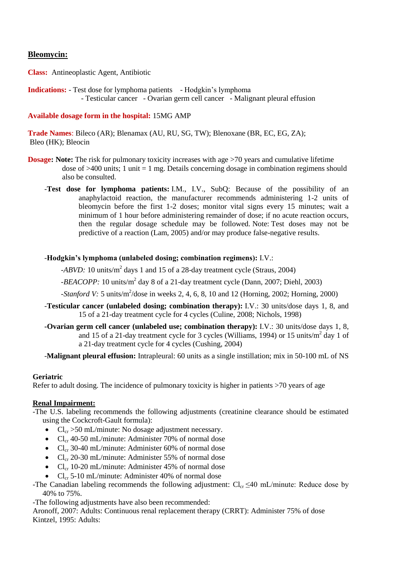# **Bleomycin:**

**Class:** Antineoplastic Agent, Antibiotic

**Indications:** - Test dose for lymphoma patients - Hodgkin's lymphoma - Testicular cancer - Ovarian germ cell cancer - Malignant pleural effusion

## **Available dosage form in the hospital:** 15MG AMP

**Trade Names**: Bileco (AR); Blenamax (AU, RU, SG, TW); Blenoxane (BR, EC, EG, ZA); Bleo (HK); Bleocin

- **Dosage:** Note: The risk for pulmonary toxicity increases with age >70 years and cumulative lifetime dose of  $>400$  units; 1 unit = 1 mg. Details concerning dosage in combination regimens should also be consulted.
	- -**Test dose for lymphoma patients:** I.M., I.V., SubQ: Because of the possibility of an anaphylactoid reaction, the manufacturer recommends administering 1-2 units of bleomycin before the first 1-2 doses; monitor vital signs every 15 minutes; wait a minimum of 1 hour before administering remainder of dose; if no acute reaction occurs, then the regular dosage schedule may be followed. Note: Test doses may not be predictive of a reaction (Lam, 2005) and/or may produce false-negative results.

### -**Hodgkin's lymphoma (unlabeled dosing; combination regimens):** I.V.:

-*ABVD*: 10 units/m<sup>2</sup> days 1 and 15 of a 28-day treatment cycle (Straus, 2004)

-*BEACOPP*: 10 units/m<sup>2</sup> day 8 of a 21-day treatment cycle (Dann, 2007; Diehl, 2003)

*-Stanford V:* 5 units/m<sup>2</sup>/dose in weeks 2, 4, 6, 8, 10 and 12 (Horning, 2002; Horning, 2000)

- -**Testicular cancer (unlabeled dosing; combination therapy):** I.V.: 30 units/dose days 1, 8, and 15 of a 21-day treatment cycle for 4 cycles (Culine, 2008; Nichols, 1998)
- **-Ovarian germ cell cancer (unlabeled use; combination therapy):** I.V.: 30 units/dose days 1, 8, and 15 of a 21-day treatment cycle for 3 cycles (Williams, 1994) or 15 units/ $m^2$  day 1 of a 21-day treatment cycle for 4 cycles (Cushing, 2004)

-**Malignant pleural effusion:** Intrapleural: 60 units as a single instillation; mix in 50-100 mL of NS

### **Geriatric**

Refer to adult dosing. The incidence of pulmonary toxicity is higher in patients >70 years of age

# **Renal Impairment:**

-The U.S. labeling recommends the following adjustments (creatinine clearance should be estimated using the Cockcroft-Gault formula):

- $Cl_{cr} > 50$  mL/minute: No dosage adjustment necessary.
- $Cl_{cr}$  40-50 mL/minute: Administer 70% of normal dose
- $Cl_{cr}$  30-40 mL/minute: Administer 60% of normal dose
- $Cl_{cr}$  20-30 mL/minute: Administer 55% of normal dose
- $Cl_{cr}$  10-20 mL/minute: Administer 45% of normal dose
- $Cl_{cr}$  5-10 mL/minute: Administer 40% of normal dose
- -The Canadian labeling recommends the following adjustment:  $Cl_{cr} \leq 40$  mL/minute: Reduce dose by 40% to 75%.

-The following adjustments have also been recommended:

Aronoff, 2007: Adults: Continuous renal replacement therapy (CRRT): Administer 75% of dose Kintzel, 1995: Adults: